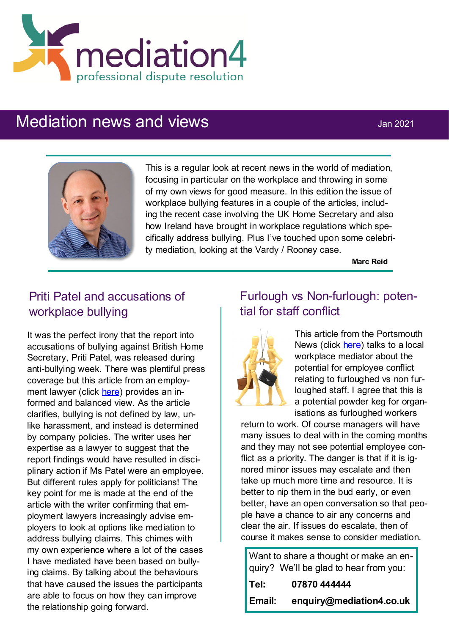

# Mediation news and views **Mediation**  $\frac{1}{2}$  Jan 2021



This is a regular look at recent news in the world of mediation, focusing in particular on the workplace and throwing in some of my own views for good measure. In this edition the issue of workplace bullying features in a couple of the articles, including the recent case involving the UK Home Secretary and also how Ireland have brought in workplace regulations which specifically address bullying. Plus I've touched upon some celebrity mediation, looking at the Vardy / Rooney case.

**Marc Reid**

# Priti Patel and accusations of workplace bullying

It was the perfect irony that the report into accusations of bullying against British Home Secretary, Priti Patel, was released during anti-bullying week. There was plentiful press coverage but this article from an employment lawyer (click [here\)](https://www.business-live.co.uk/opinion-analysis/robust-criticism-not-bullying-shouting-19334570) provides an informed and balanced view. As the article clarifies, bullying is not defined by law, unlike harassment, and instead is determined by company policies. The writer uses her expertise as a lawyer to suggest that the report findings would have resulted in disciplinary action if Ms Patel were an employee. But different rules apply for politicians! The key point for me is made at the end of the article with the writer confirming that employment lawyers increasingly advise employers to look at options like mediation to address bullying claims. This chimes with my own experience where a lot of the cases I have mediated have been based on bullying claims. By talking about the behaviours that have caused the issues the participants are able to focus on how they can improve the relationship going forward.

#### Furlough vs Non-furlough: potential for staff conflict



This article from the Portsmouth News (click [here\)](https://www.portsmouth.co.uk/business/gosport-workplace-coach-urges-business-tackle-resentment-between-furloughed-and-working-staff-3027914) talks to a local workplace mediator about the potential for employee conflict relating to furloughed vs non furloughed staff. I agree that this is a potential powder keg for organisations as furloughed workers

return to work. Of course managers will have many issues to deal with in the coming months and they may not see potential employee conflict as a priority. The danger is that if it is ignored minor issues may escalate and then take up much more time and resource. It is better to nip them in the bud early, or even better, have an open conversation so that people have a chance to air any concerns and clear the air. If issues do escalate, then of course it makes sense to consider mediation.

Want to share a thought or make an enquiry? We'll be glad to hear from you: **Tel: 07870 444444**

**Email: enquiry@mediation4.co.uk**